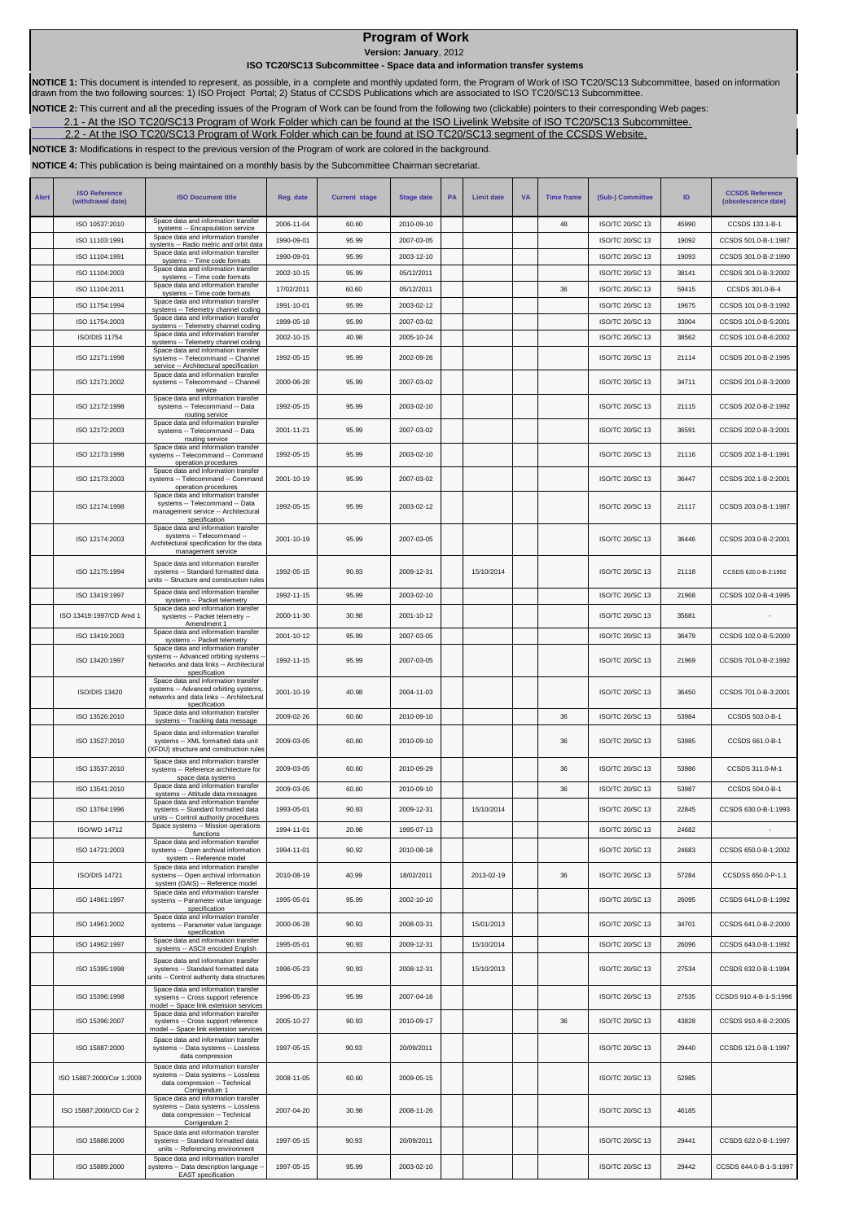## **Program of Work**

**Version: January**, 2012

## **ISO TC20/SC13 Subcommittee - Space data and information transfer systems**

**NOTICE 1:** This document is intended to represent, as possible, in a complete and monthly updated form, the Program of Work of ISO TC20/SC13 Subcommittee, based on information<br>drawn from the two following sources: 1) ISO

**NOTICE 2:** This current and all the preceding issues of the Program of Work can be found from the following two (clickable) pointers to their corresponding Web pages:

2.1 - At the ISO TC20/SC13 Program of Work Folder which can be found at the ISO Livelink Website of ISO TC20/SC13 Subcommittee.

2.2 - At the ISO TC20/SC13 Program of Work Folder which can be found at ISO TC20/SC13 segment of the CCSDS Website.

**NOTICE 3:** Modifications in respect to the previous version of the Program of work are colored in the background.

**NOTICE 4:** This publication is being maintained on a monthly basis by the Subcommittee Chairman secretariat.

| <b>Alert</b> | <b>ISO Reference</b><br>(withdrawal date) | <b>ISO Document title</b>                                                                                                                  | Reg. date  | <b>Current stage</b> | <b>Stage date</b> | PA | <b>Limit date</b> | <b>VA</b> | <b>Time frame</b> | (Sub-) Committee       | ID    | <b>CCSDS Reference</b><br>(obsolescence date) |
|--------------|-------------------------------------------|--------------------------------------------------------------------------------------------------------------------------------------------|------------|----------------------|-------------------|----|-------------------|-----------|-------------------|------------------------|-------|-----------------------------------------------|
|              | ISO 10537:2010                            | Space data and information transfer<br>systems -- Encapsulation service                                                                    | 2006-11-04 | 60.60                | 2010-09-10        |    |                   |           | 48                | ISO/TC 20/SC 13        | 45990 | CCSDS 133.1-B-1                               |
|              | ISO 11103:1991                            | Space data and information transfer<br>systems -- Radio metric and orbit data                                                              | 1990-09-01 | 95.99                | 2007-03-05        |    |                   |           |                   | ISO/TC 20/SC 13        | 19092 | CCSDS 501.0-B-1:1987                          |
|              | ISO 11104:1991                            | Space data and information transfer<br>systems -- Time code formats                                                                        | 1990-09-01 | 95.99                | 2003-12-10        |    |                   |           |                   | ISO/TC 20/SC 13        | 19093 | CCSDS 301.0-B-2:1990                          |
|              | ISO 11104:2003                            | Space data and information transfer<br>systems -- Time code formats                                                                        | 2002-10-15 | 95.99                | 05/12/2011        |    |                   |           |                   | ISO/TC 20/SC 13        | 38141 | CCSDS 301.0-B-3:2002                          |
|              | ISO 11104:2011                            | Space data and information transfer<br>systems -- Time code formats                                                                        | 17/02/2011 | 60.60                | 05/12/2011        |    |                   |           | 36                | ISO/TC 20/SC 13        | 59415 | CCSDS 301.0-B-4                               |
|              | ISO 11754:1994                            | Space data and information transfer<br>systems -- Telemetry channel coding                                                                 | 1991-10-01 | 95.99                | 2003-02-12        |    |                   |           |                   | ISO/TC 20/SC 13        | 19675 | CCSDS 101.0-B-3:1992                          |
|              | ISO 11754:2003                            | Space data and information transfer<br>systems -- Telemetry channel coding                                                                 | 1999-05-18 | 95.99                | 2007-03-02        |    |                   |           |                   | <b>ISO/TC 20/SC 13</b> | 33004 | CCSDS 101.0-B-5:2001                          |
|              | <b>ISO/DIS 11754</b>                      | Space data and information transfer<br>systems -- Telemetry channel coding                                                                 | 2002-10-15 | 40.98                | 2005-10-24        |    |                   |           |                   | ISO/TC 20/SC 13        | 38562 | CCSDS 101.0-B-6:2002                          |
|              | ISO 12171:1998                            | Space data and information transfer<br>systems -- Telecommand -- Channel<br>service -- Architectural specification                         | 1992-05-15 | 95.99                | 2002-09-26        |    |                   |           |                   | ISO/TC 20/SC 13        | 21114 | CCSDS 201.0-B-2:1995                          |
|              | ISO 12171:2002                            | Space data and information transfer<br>systems -- Telecommand -- Channel<br>service                                                        | 2000-06-28 | 95.99                | 2007-03-02        |    |                   |           |                   | ISO/TC 20/SC 13        | 34711 | CCSDS 201.0-B-3:2000                          |
|              | ISO 12172:1998                            | Space data and information transfer<br>systems -- Telecommand -- Data<br>routing service                                                   | 1992-05-15 | 95.99                | 2003-02-10        |    |                   |           |                   | ISO/TC 20/SC 13        | 21115 | CCSDS 202.0-B-2:1992                          |
|              | ISO 12172:2003                            | Space data and information transfer<br>systems -- Telecommand -- Data<br>routing service                                                   | 2001-11-21 | 95.99                | 2007-03-02        |    |                   |           |                   | ISO/TC 20/SC 13        | 36591 | CCSDS 202.0-B-3:2001                          |
|              | ISO 12173:1998                            | Space data and information transfer<br>systems -- Telecommand -- Command<br>operation procedures                                           | 1992-05-15 | 95.99                | 2003-02-10        |    |                   |           |                   | ISO/TC 20/SC 13        | 21116 | CCSDS 202.1-B-1:1991                          |
|              | ISO 12173:2003                            | Space data and information transfer<br>systems -- Telecommand -- Command<br>operation procedures<br>Space data and information transfer    | 2001-10-19 | 95.99                | 2007-03-02        |    |                   |           |                   | ISO/TC 20/SC 13        | 36447 | CCSDS 202.1-B-2:2001                          |
|              | ISO 12174:1998                            | systems -- Telecommand -- Data<br>management service -- Architectural<br>specification<br>Space data and information transfer              | 1992-05-15 | 95.99                | 2003-02-12        |    |                   |           |                   | ISO/TC 20/SC 13        | 21117 | CCSDS 203.0-B-1:1987                          |
|              | ISO 12174:2003                            | systems -- Telecommand --<br>Architectural specification for the data<br>management service                                                | 2001-10-19 | 95.99                | 2007-03-05        |    |                   |           |                   | ISO/TC 20/SC 13        | 36446 | CCSDS 203.0-B-2:2001                          |
|              | ISO 12175:1994                            | Space data and information transfer<br>systems -- Standard formatted data<br>units -- Structure and construction rules                     | 1992-05-15 | 90.93                | 2009-12-31        |    | 15/10/2014        |           |                   | ISO/TC 20/SC 13        | 21118 | CCSDS 620.0-B-2:1992                          |
|              | ISO 13419:1997                            | Space data and information transfer<br>systems -- Packet telemetry                                                                         | 1992-11-15 | 95.99                | 2003-02-10        |    |                   |           |                   | ISO/TC 20/SC 13        | 21968 | CCSDS 102.0-B-4:1995                          |
|              | ISO 13419:1997/CD Amd 1                   | Space data and information transfer<br>systems -- Packet telemetry --                                                                      | 2000-11-30 | 30.98                | 2001-10-12        |    |                   |           |                   | ISO/TC 20/SC 13        | 35681 |                                               |
|              | ISO 13419:2003                            | Amendment 1<br>Space data and information transfer<br>systems -- Packet telemetry                                                          | 2001-10-12 | 95.99                | 2007-03-05        |    |                   |           |                   | ISO/TC 20/SC 13        | 36479 | CCSDS 102.0-B-5:2000                          |
|              | ISO 13420:1997                            | Space data and information transfer<br>systems -- Advanced orbiting systems -<br>Networks and data links -- Architectural<br>specification | 1992-11-15 | 95.99                | 2007-03-05        |    |                   |           |                   | ISO/TC 20/SC 13        | 21969 | CCSDS 701.0-B-2:1992                          |
|              | <b>ISO/DIS 13420</b>                      | Space data and information transfer<br>systems -- Advanced orbiting systems,<br>networks and data links -- Architectural<br>specification  | 2001-10-19 | 40.98                | 2004-11-03        |    |                   |           |                   | ISO/TC 20/SC 13        | 36450 | CCSDS 701.0-B-3:2001                          |
|              | ISO 13526:2010                            | Space data and information transfer<br>systems -- Tracking data message                                                                    | 2009-02-26 | 60.60                | 2010-09-10        |    |                   |           | 36                | ISO/TC 20/SC 13        | 53984 | CCSDS 503.0-B-1                               |
|              | ISO 13527:2010                            | Space data and information transfer<br>systems -- XML formatted data unit<br>(XFDU) structure and construction rules                       | 2009-03-05 | 60.60                | 2010-09-10        |    |                   |           | 36                | ISO/TC 20/SC 13        | 53985 | CCSDS 661.0-B-1                               |
|              | ISO 13537:2010                            | Space data and information transfer<br>systems -- Reference architecture for<br>space data systems                                         | 2009-03-05 | 60.60                | 2010-09-29        |    |                   |           | 36                | ISO/TC 20/SC 13        | 53986 | CCSDS 311.0-M-1                               |
|              | ISO 13541:2010                            | Space data and information transfer<br>systems -- Attitude data messages                                                                   | 2009-03-05 | 60.60                | 2010-09-10        |    |                   |           | 36                | ISO/TC 20/SC 13        | 53987 | CCSDS 504.0-B-1                               |
|              | ISO 13764:1996                            | Space data and information transfer<br>systems -- Standard formatted data                                                                  | 1993-05-01 | 90.93                | 2009-12-31        |    | 15/10/2014        |           |                   | ISO/TC 20/SC 13        | 22845 | CCSDS 630.0-B-1:1993                          |
|              |                                           | units -- Control authority procedures<br>Space systems -- Mission operations                                                               |            |                      |                   |    |                   |           |                   |                        |       |                                               |
|              | ISO/WD 14712                              | functions<br>Space data and information transfer                                                                                           | 1994-11-01 | 20.98                | 1995-07-13        |    |                   |           |                   | <b>ISO/TC 20/SC 13</b> | 24682 |                                               |
|              | ISO 14721:2003                            | systems -- Open archival information<br>system -- Reference model                                                                          | 1994-11-01 | 90.92                | 2010-08-18        |    |                   |           |                   | ISO/TC 20/SC 13        | 24683 | CCSDS 650.0-B-1:2002                          |
|              | <b>ISO/DIS 14721</b>                      | Space data and information transfer<br>systems -- Open archival information<br>system (OAIS) -- Reference model                            | 2010-08-19 | 40.99                | 18/02/2011        |    | 2013-02-19        |           | 36                | ISO/TC 20/SC 13        | 57284 | CCSDSS 650.0-P-1.1                            |
|              | ISO 14961:1997                            | Space data and information transfer<br>systems -- Parameter value language<br>specification                                                | 1995-05-01 | 95.99                | 2002-10-10        |    |                   |           |                   | ISO/TC 20/SC 13        | 26095 | CCSDS 641.0-B-1:1992                          |
|              | ISO 14961:2002                            | Space data and information transfer<br>systems -- Parameter value language<br>specification                                                | 2000-06-28 | 90.93                | 2008-03-31        |    | 15/01/2013        |           |                   | ISO/TC 20/SC 13        | 34701 | CCSDS 641.0-B-2:2000                          |
|              | ISO 14962:1997                            | Space data and information transfer<br>systems -- ASCII encoded English                                                                    | 1995-05-01 | 90.93                | 2009-12-31        |    | 15/10/2014        |           |                   | ISO/TC 20/SC 13        | 26096 | CCSDS 643.0-B-1:1992                          |
|              | ISO 15395:1998                            | Space data and information transfer<br>systems -- Standard formatted data<br>units -- Control authority data structures                    | 1996-05-23 | 90.93                | 2008-12-31        |    | 15/10/2013        |           |                   | ISO/TC 20/SC 13        | 27534 | CCSDS 632.0-B-1:1994                          |
|              | ISO 15396:1998                            | Space data and information transfer<br>systems -- Cross support reference<br>model -- Space link extension services                        | 1996-05-23 | 95.99                | 2007-04-16        |    |                   |           |                   | ISO/TC 20/SC 13        | 27535 | CCSDS 910.4-B-1-S:1996                        |
|              | ISO 15396:2007                            | Space data and information transfer<br>systems -- Cross support reference<br>model -- Space link extension services                        | 2005-10-27 | 90.93                | 2010-09-17        |    |                   |           | 36                | ISO/TC 20/SC 13        | 43828 | CCSDS 910.4-B-2:2005                          |
|              | ISO 15887:2000                            | Space data and information transfer<br>systems -- Data systems -- Lossless<br>data compression                                             | 1997-05-15 | 90.93                | 20/09/2011        |    |                   |           |                   | ISO/TC 20/SC 13        | 29440 | CCSDS 121.0-B-1:1997                          |
|              | ISO 15887:2000/Cor 1:2009                 | Space data and information transfer<br>systems -- Data systems -- Lossless<br>data compression -- Technical<br>Corrigendum 1               | 2008-11-05 | 60.60                | 2009-05-15        |    |                   |           |                   | ISO/TC 20/SC 13        | 52985 |                                               |
|              | ISO 15887:2000/CD Cor 2                   | Space data and information transfer<br>systems -- Data systems -- Lossless<br>data compression -- Technical<br>Corrigendum 2               | 2007-04-20 | 30.98                | 2008-11-26        |    |                   |           |                   | ISO/TC 20/SC 13        | 46185 |                                               |
|              | ISO 15888:2000                            | Space data and information transfer<br>systems -- Standard formatted data<br>units -- Referencing environment                              | 1997-05-15 | 90.93                | 20/09/2011        |    |                   |           |                   | ISO/TC 20/SC 13        | 29441 | CCSDS 622.0-B-1:1997                          |
|              | ISO 15889:2000                            | Space data and information transfer<br>systems -- Data description language -<br>EAST specification                                        | 1997-05-15 | 95.99                | 2003-02-10        |    |                   |           |                   | ISO/TC 20/SC 13        | 29442 | CCSDS 644.0-B-1-S:1997                        |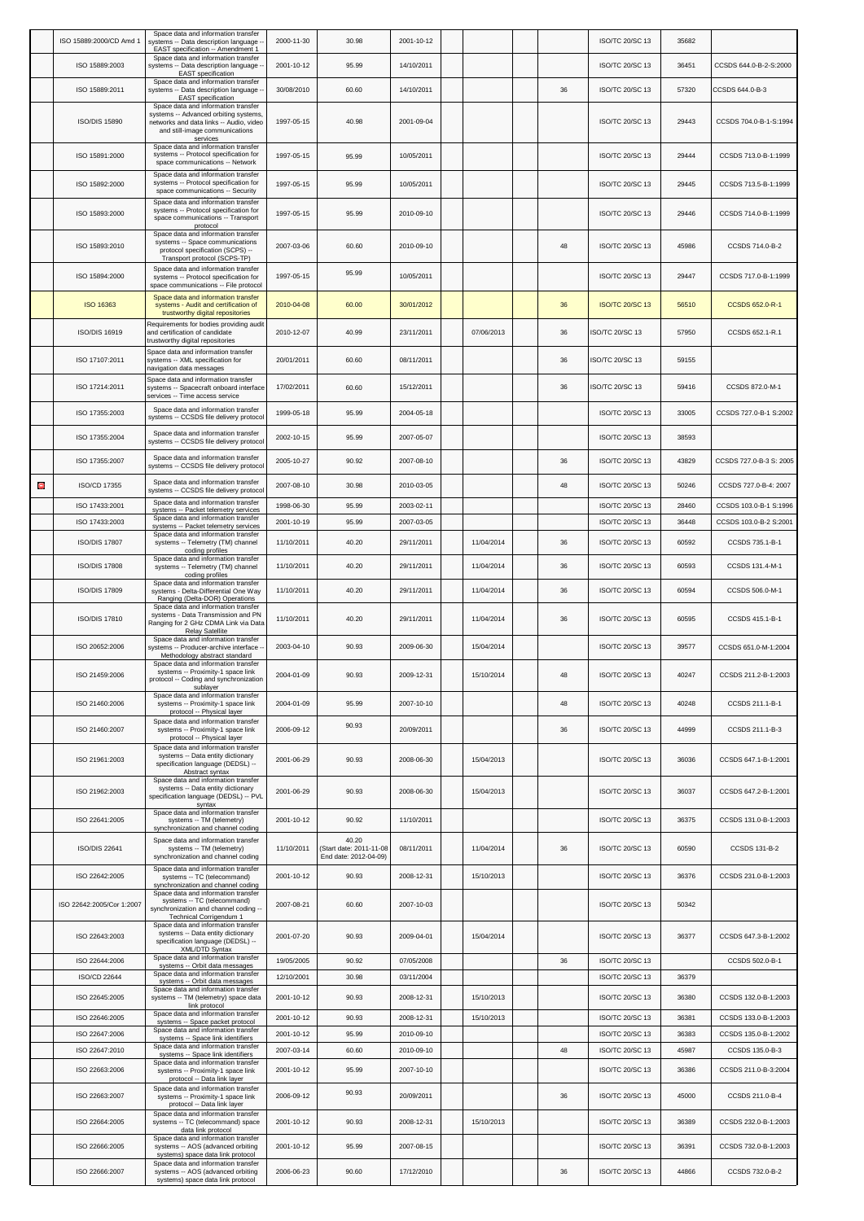|   | ISO 15889:2000/CD Amd 1        | Space data and information transfer<br>systems -- Data description language<br>EAST specification -- Amendment 1                                         | 2000-11-30               | 30.98                                                    | 2001-10-12               |            |    | ISO/TC 20/SC 13                    | 35682 |                         |
|---|--------------------------------|----------------------------------------------------------------------------------------------------------------------------------------------------------|--------------------------|----------------------------------------------------------|--------------------------|------------|----|------------------------------------|-------|-------------------------|
|   | ISO 15889:2003                 | Space data and information transfer<br>systems -- Data description language -                                                                            | 2001-10-12               | 95.99                                                    | 14/10/2011               |            |    | ISO/TC 20/SC 13                    | 36451 | CCSDS 644.0-B-2-S:2000  |
|   | ISO 15889:2011                 | <b>EAST</b> specification<br>Space data and information transfer<br>systems -- Data description language -                                               | 30/08/2010               | 60.60                                                    | 14/10/2011               |            | 36 | ISO/TC 20/SC 13                    | 57320 | CCSDS 644.0-B-3         |
|   |                                | <b>EAST</b> specification<br>Space data and information transfer<br>systems -- Advanced orbiting systems,                                                |                          |                                                          |                          |            |    |                                    |       |                         |
|   | <b>ISO/DIS 15890</b>           | networks and data links -- Audio, video<br>and still-image communications<br>services                                                                    | 1997-05-15               | 40.98                                                    | 2001-09-04               |            |    | ISO/TC 20/SC 13                    | 29443 | CCSDS 704.0-B-1-S:1994  |
|   | ISO 15891:2000                 | Space data and information transfer<br>systems -- Protocol specification for<br>space communications -- Network                                          | 1997-05-15               | 95.99                                                    | 10/05/2011               |            |    | ISO/TC 20/SC 13                    | 29444 | CCSDS 713.0-B-1:1999    |
|   | ISO 15892:2000                 | Space data and information transfer<br>systems -- Protocol specification for<br>space communications -- Security                                         | 1997-05-15               | 95.99                                                    | 10/05/2011               |            |    | ISO/TC 20/SC 13                    | 29445 | CCSDS 713.5-B-1:1999    |
|   | ISO 15893:2000                 | Space data and information transfer<br>systems -- Protocol specification for<br>space communications -- Transport                                        | 1997-05-15               | 95.99                                                    | 2010-09-10               |            |    | ISO/TC 20/SC 13                    | 29446 | CCSDS 714.0-B-1:1999    |
|   | ISO 15893:2010                 | protocol<br>Space data and information transfer<br>systems -- Space communications<br>protocol specification (SCPS) --                                   | 2007-03-06               | 60.60                                                    | 2010-09-10               |            | 48 | ISO/TC 20/SC 13                    | 45986 | CCSDS 714.0-B-2         |
|   | ISO 15894:2000                 | Transport protocol (SCPS-TP)<br>Space data and information transfer<br>systems -- Protocol specification for                                             | 1997-05-15               | 95.99                                                    | 10/05/2011               |            |    | ISO/TC 20/SC 13                    | 29447 | CCSDS 717.0-B-1:1999    |
|   | ISO 16363                      | space communications -- File protocol<br>Space data and information transfer<br>systems - Audit and certification of<br>trustworthy digital repositories | 2010-04-08               | 60.00                                                    | 30/01/2012               |            | 36 | <b>ISO/TC 20/SC 13</b>             | 56510 | CCSDS 652.0-R-1         |
|   | ISO/DIS 16919                  | Requirements for bodies providing audit<br>and certification of candidate<br>trustworthy digital repositories                                            | 2010-12-07               | 40.99                                                    | 23/11/2011               | 07/06/2013 | 36 | ISO/TC 20/SC 13                    | 57950 | CCSDS 652.1-R.1         |
|   | ISO 17107:2011                 | Space data and information transfer<br>systems -- XML specification for<br>navigation data messages                                                      | 20/01/2011               | 60.60                                                    | 08/11/2011               |            | 36 | SO/TC 20/SC 13                     | 59155 |                         |
|   | ISO 17214:2011                 | Space data and information transfer<br>systems -- Spacecraft onboard interface<br>services -- Time access service                                        | 17/02/2011               | 60.60                                                    | 15/12/2011               |            | 36 | ISO/TC 20/SC 13                    | 59416 | CCSDS 872.0-M-1         |
|   | ISO 17355:2003                 | Space data and information transfer<br>systems -- CCSDS file delivery protocol                                                                           | 1999-05-18               | 95.99                                                    | 2004-05-18               |            |    | ISO/TC 20/SC 13                    | 33005 | CCSDS 727.0-B-1 S:2002  |
|   | ISO 17355:2004                 | Space data and information transfer<br>systems -- CCSDS file delivery protocol                                                                           | 2002-10-15               | 95.99                                                    | 2007-05-07               |            |    | ISO/TC 20/SC 13                    | 38593 |                         |
|   | ISO 17355:2007                 | Space data and information transfer<br>systems -- CCSDS file delivery protocol                                                                           | 2005-10-27               | 90.92                                                    | 2007-08-10               |            | 36 | ISO/TC 20/SC 13                    | 43829 | CCSDS 727.0-B-3 S: 2005 |
| O | ISO/CD 17355                   | Space data and information transfer<br>systems -- CCSDS file delivery protocol                                                                           | 2007-08-10               | 30.98                                                    | 2010-03-05               |            | 48 | ISO/TC 20/SC 13                    | 50246 | CCSDS 727.0-B-4: 2007   |
|   | ISO 17433:2001                 | Space data and information transfer<br>systems -- Packet telemetry services                                                                              | 1998-06-30               | 95.99                                                    | 2003-02-11               |            |    | ISO/TC 20/SC 13                    | 28460 | CCSDS 103.0-B-1 S:1996  |
|   | ISO 17433:2003                 | Space data and information transfer<br>systems -- Packet telemetry services<br>Space data and information transfer                                       | 2001-10-19               | 95.99                                                    | 2007-03-05               |            |    | ISO/TC 20/SC 13                    | 36448 | CCSDS 103.0-B-2 S:2001  |
|   | <b>ISO/DIS 17807</b>           | systems -- Telemetry (TM) channel<br>coding profiles                                                                                                     | 11/10/2011               | 40.20                                                    | 29/11/2011               | 11/04/2014 | 36 | ISO/TC 20/SC 13                    | 60592 | CCSDS 735.1-B-1         |
|   | <b>ISO/DIS 17808</b>           | Space data and information transfer<br>systems -- Telemetry (TM) channel<br>coding profiles                                                              | 11/10/2011               | 40.20                                                    | 29/11/2011               | 11/04/2014 | 36 | ISO/TC 20/SC 13                    | 60593 | CCSDS 131.4-M-1         |
|   | <b>ISO/DIS 17809</b>           | Space data and information transfer<br>systems - Delta-Differential One Way<br>Ranging (Delta-DOR) Operations                                            | 11/10/2011               | 40.20                                                    | 29/11/2011               | 11/04/2014 | 36 | ISO/TC 20/SC 13                    | 60594 | CCSDS 506.0-M-1         |
|   | <b>ISO/DIS 17810</b>           | Space data and information transfer<br>systems - Data Transmission and PN<br>Ranging for 2 GHz CDMA Link via Data<br><b>Relay Satellite</b>              | 11/10/2011               | 40.20                                                    | 29/11/2011               | 11/04/2014 | 36 | ISO/TC 20/SC 13                    | 60595 | CCSDS 415.1-B-1         |
|   | ISO 20652:2006                 | Space data and information transfer<br>systems -- Producer-archive interface --<br>Methodology abstract standard                                         | 2003-04-10               | 90.93                                                    | 2009-06-30               | 15/04/2014 |    | ISO/TC 20/SC 13                    | 39577 | CCSDS 651.0-M-1:2004    |
|   | ISO 21459:2006                 | Space data and information transfer<br>systems -- Proximity-1 space link<br>rotocol -- Coding and synchronization<br>sublayer                            | 2004-01-09               | 90.93                                                    | 2009-12-31               | 15/10/2014 | 48 | ISO/TC 20/SC 13                    | 40247 | CCSDS 211.2-B-1:2003    |
|   | ISO 21460:2006                 | Space data and information transfer<br>systems -- Proximity-1 space link<br>protocol -- Physical layer                                                   | 2004-01-09               | 95.99                                                    | 2007-10-10               |            | 48 | ISO/TC 20/SC 13                    | 40248 | CCSDS 211.1-B-1         |
|   | ISO 21460:2007                 | Space data and information transfer<br>systems -- Proximity-1 space link<br>protocol -- Physical layer                                                   | 2006-09-12               | 90.93                                                    | 20/09/2011               |            | 36 | ISO/TC 20/SC 13                    | 44999 | CCSDS 211.1-B-3         |
|   | ISO 21961:2003                 | Space data and information transfer<br>systems -- Data entity dictionary<br>specification language (DEDSL) --<br>Abstract syntax                         | 2001-06-29               | 90.93                                                    | 2008-06-30               | 15/04/2013 |    | ISO/TC 20/SC 13                    | 36036 | CCSDS 647.1-B-1:2001    |
|   | ISO 21962:2003                 | Space data and information transfer<br>systems -- Data entity dictionary<br>specification language (DEDSL) -- PVL<br>syntax                              | 2001-06-29               | 90.93                                                    | 2008-06-30               | 15/04/2013 |    | ISO/TC 20/SC 13                    | 36037 | CCSDS 647.2-B-1:2001    |
|   | ISO 22641:2005                 | Space data and information transfer<br>systems -- TM (telemetry)<br>synchronization and channel coding                                                   | 2001-10-12               | 90.92                                                    | 11/10/2011               |            |    | ISO/TC 20/SC 13                    | 36375 | CCSDS 131.0-B-1:2003    |
|   | <b>ISO/DIS 22641</b>           | Space data and information transfer<br>systems -- TM (telemetry)<br>synchronization and channel coding                                                   | 11/10/2011               | 40.20<br>Start date: 2011-11-08<br>End date: 2012-04-09) | 08/11/2011               | 11/04/2014 | 36 | <b>ISO/TC 20/SC 13</b>             | 60590 | CCSDS 131-B-2           |
|   | ISO 22642:2005                 | Space data and information transfer<br>systems -- TC (telecommand)<br>synchronization and channel coding                                                 | 2001-10-12               | 90.93                                                    | 2008-12-31               | 15/10/2013 |    | ISO/TC 20/SC 13                    | 36376 | CCSDS 231.0-B-1:2003    |
|   | ISO 22642:2005/Cor 1:2007      | Space data and information transfer<br>systems -- TC (telecommand)<br>synchronization and channel coding --<br>Technical Corrigendum 1                   | 2007-08-21               | 60.60                                                    | 2007-10-03               |            |    | ISO/TC 20/SC 13                    | 50342 |                         |
|   | ISO 22643:2003                 | Space data and information transfer<br>systems -- Data entity dictionary<br>specification language (DEDSL) --<br>XML/DTD Syntax                          | 2001-07-20               | 90.93                                                    | 2009-04-01               | 15/04/2014 |    | ISO/TC 20/SC 13                    | 36377 | CCSDS 647.3-B-1:2002    |
|   | ISO 22644:2006<br>ISO/CD 22644 | Space data and information transfer<br>systems -- Orbit data messages<br>Space data and information transfer                                             | 19/05/2005<br>12/10/2001 | 90.92<br>30.98                                           | 07/05/2008<br>03/11/2004 |            | 36 | ISO/TC 20/SC 13<br>ISO/TC 20/SC 13 | 36379 | CCSDS 502.0-B-1         |
|   | ISO 22645:2005                 | systems -- Orbit data messages<br>Space data and information transfer<br>systems -- TM (telemetry) space data                                            | 2001-10-12               | 90.93                                                    | 2008-12-31               | 15/10/2013 |    | ISO/TC 20/SC 13                    | 36380 | CCSDS 132.0-B-1:2003    |
|   | ISO 22646:2005                 | link protocol<br>Space data and information transfer                                                                                                     | 2001-10-12               | 90.93                                                    | 2008-12-31               | 15/10/2013 |    | ISO/TC 20/SC 13                    | 36381 | CCSDS 133.0-B-1:2003    |
|   | ISO 22647:2006                 | systems -- Space packet protocol<br>Space data and information transfer                                                                                  | 2001-10-12               | 95.99                                                    | 2010-09-10               |            |    | ISO/TC 20/SC 13                    | 36383 | CCSDS 135.0-B-1:2002    |
|   | ISO 22647:2010                 | systems -- Space link identifiers<br>Space data and information transfer<br>systems -- Space link identifiers                                            | 2007-03-14               | 60.60                                                    | 2010-09-10               |            | 48 | ISO/TC 20/SC 13                    | 45987 | CCSDS 135.0-B-3         |
|   | ISO 22663:2006                 | Space data and information transfer<br>systems -- Proximity-1 space link<br>protocol -- Data link layer                                                  | 2001-10-12               | 95.99                                                    | 2007-10-10               |            |    | ISO/TC 20/SC 13                    | 36386 | CCSDS 211.0-B-3:2004    |
|   | ISO 22663:2007                 | Space data and information transfer<br>systems -- Proximity-1 space link<br>protocol -- Data link layer                                                  | 2006-09-12               | 90.93                                                    | 20/09/2011               |            | 36 | <b>ISO/TC 20/SC 13</b>             | 45000 | CCSDS 211.0-B-4         |
|   | ISO 22664:2005                 | Space data and information transfer<br>systems -- TC (telecommand) space<br>data link protocol                                                           | 2001-10-12               | 90.93                                                    | 2008-12-31               | 15/10/2013 |    | ISO/TC 20/SC 13                    | 36389 | CCSDS 232.0-B-1:2003    |
|   | ISO 22666:2005                 | Space data and information transfer<br>systems -- AOS (advanced orbiting<br>systems) space data link protocol                                            | 2001-10-12               | 95.99                                                    | 2007-08-15               |            |    | ISO/TC 20/SC 13                    | 36391 | CCSDS 732.0-B-1:2003    |
|   | ISO 22666:2007                 | Space data and information transfer<br>systems -- AOS (advanced orbiting<br>systems) space data link protocol                                            | 2006-06-23               | 90.60                                                    | 17/12/2010               |            | 36 | ISO/TC 20/SC 13                    | 44866 | CCSDS 732.0-B-2         |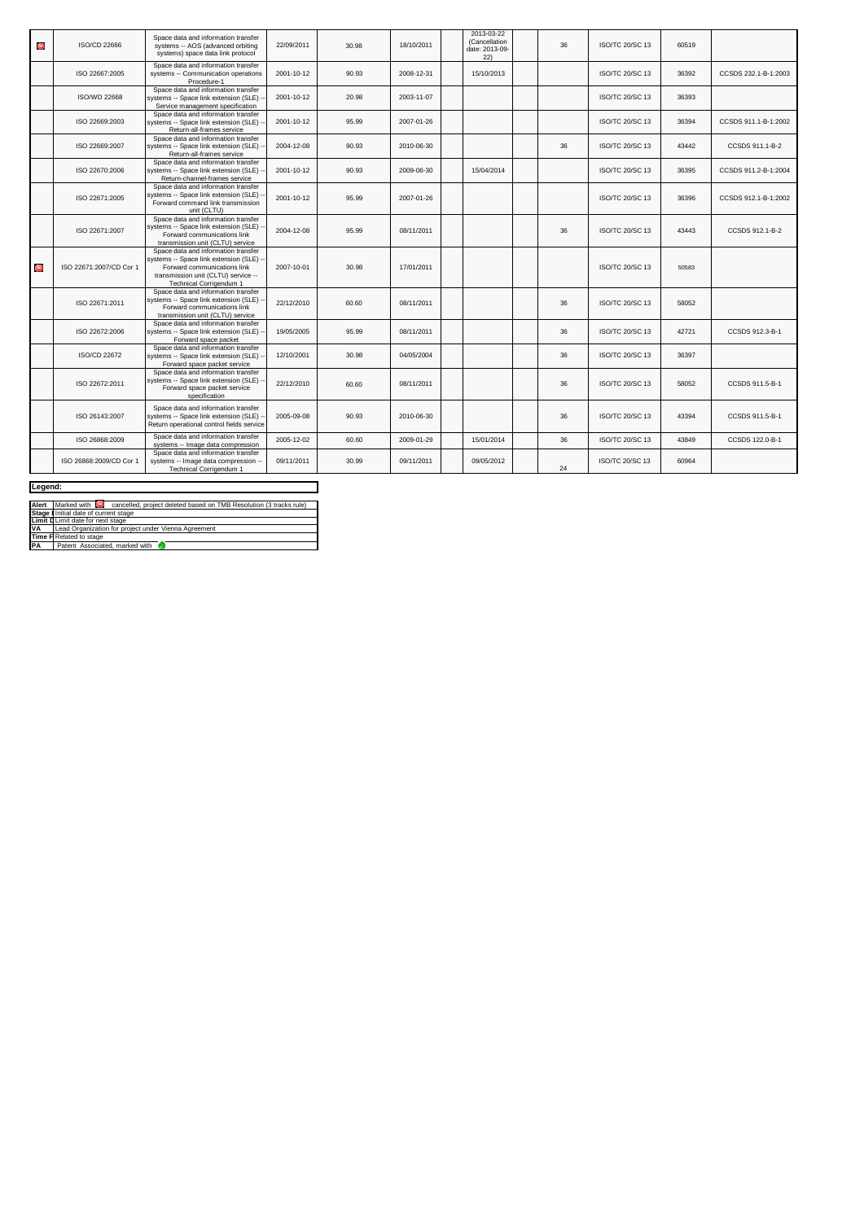| Θ         | ISO/CD 22666            | Space data and information transfer<br>systems -- AOS (advanced orbiting<br>systems) space data link protocol                                                                   | 22/09/2011 | 30.98 | 18/10/2011 | 2013-03-22<br>(Cancellation<br>date: 2013-09-<br>22) | 36 | <b>ISO/TC 20/SC 13</b> | 60519 |                      |
|-----------|-------------------------|---------------------------------------------------------------------------------------------------------------------------------------------------------------------------------|------------|-------|------------|------------------------------------------------------|----|------------------------|-------|----------------------|
|           | ISO 22667:2005          | Space data and information transfer<br>systems -- Communication operations<br>Procedure-1                                                                                       | 2001-10-12 | 90.93 | 2008-12-31 | 15/10/2013                                           |    | <b>ISO/TC 20/SC 13</b> | 36392 | CCSDS 232.1-B-1:2003 |
|           | <b>ISO/WD 22668</b>     | Space data and information transfer<br>systems -- Space link extension (SLE) -<br>Service management specification                                                              | 2001-10-12 | 20.98 | 2003-11-07 |                                                      |    | ISO/TC 20/SC 13        | 36393 |                      |
|           | ISO 22669:2003          | Space data and information transfer<br>systems -- Space link extension (SLE) -<br>Return-all-frames service                                                                     | 2001-10-12 | 95.99 | 2007-01-26 |                                                      |    | ISO/TC 20/SC 13        | 36394 | CCSDS 911.1-B-1:2002 |
|           | ISO 22669:2007          | Space data and information transfer<br>systems -- Space link extension (SLE) -<br>Return-all-frames service                                                                     | 2004-12-08 | 90.93 | 2010-06-30 |                                                      | 36 | <b>ISO/TC 20/SC 13</b> | 43442 | CCSDS 911.1-B-2      |
|           | ISO 22670:2006          | Space data and information transfer<br>systems -- Space link extension (SLE) -<br>Return-channel-frames service                                                                 | 2001-10-12 | 90.93 | 2009-06-30 | 15/04/2014                                           |    | ISO/TC 20/SC 13        | 36395 | CCSDS 911.2-B-1:2004 |
|           | ISO 22671:2005          | Space data and information transfer<br>systems -- Space link extension (SLE)<br>Forward command link transmission<br>unit (CLTU)                                                | 2001-10-12 | 95.99 | 2007-01-26 |                                                      |    | <b>ISO/TC 20/SC 13</b> | 36396 | CCSDS 912.1-B-1:2002 |
|           | ISO 22671:2007          | Space data and information transfer<br>systems -- Space link extension (SLE)<br>Forward communications link<br>transmission unit (CLTU) service                                 | 2004-12-08 | 95.99 | 08/11/2011 |                                                      | 36 | ISO/TC 20/SC 13        | 43443 | CCSDS 912.1-B-2      |
| $\bullet$ | ISO 22671:2007/CD Cor 1 | Space data and information transfer<br>systems -- Space link extension (SLE) -<br>Forward communications link<br>transmission unit (CLTU) service --<br>Technical Corrigendum 1 | 2007-10-01 | 30.98 | 17/01/2011 |                                                      |    | ISO/TC 20/SC 13        | 50583 |                      |
|           | ISO 22671:2011          | Space data and information transfer<br>systems -- Space link extension (SLE) -<br>Forward communications link<br>transmission unit (CLTU) service                               | 22/12/2010 | 60.60 | 08/11/2011 |                                                      | 36 | ISO/TC 20/SC 13        | 58052 |                      |
|           | ISO 22672:2006          | Space data and information transfer<br>systems -- Space link extension (SLE) -<br>Forward space packet                                                                          | 19/05/2005 | 95.99 | 08/11/2011 |                                                      | 36 | <b>ISO/TC 20/SC 13</b> | 42721 | CCSDS 912.3-B-1      |
|           | ISO/CD 22672            | Space data and information transfer<br>systems -- Space link extension (SLE) --<br>Forward space packet service                                                                 | 12/10/2001 | 30.98 | 04/05/2004 |                                                      | 36 | <b>ISO/TC 20/SC 13</b> | 36397 |                      |
|           | ISO 22672:2011          | Space data and information transfer<br>systems -- Space link extension (SLE) -<br>Forward space packet service<br>specification                                                 | 22/12/2010 | 60.60 | 08/11/2011 |                                                      | 36 | ISO/TC 20/SC 13        | 58052 | CCSDS 911.5-B-1      |
|           | ISO 26143:2007          | Space data and information transfer<br>systems -- Space link extension (SLE)<br>Return operational control fields service                                                       | 2005-09-08 | 90.93 | 2010-06-30 |                                                      | 36 | ISO/TC 20/SC 13        | 43394 | CCSDS 911.5-B-1      |
|           | ISO 26868:2009          | Space data and information transfer<br>systems -- Image data compression                                                                                                        | 2005-12-02 | 60.60 | 2009-01-29 | 15/01/2014                                           | 36 | <b>ISO/TC 20/SC 13</b> | 43849 | CCSDS 122.0-B-1      |
|           | ISO 26868:2009/CD Cor 1 | Space data and information transfer<br>systems -- Image data compression --<br>Technical Corrigendum 1                                                                          | 09/11/2011 | 30.99 | 09/11/2011 | 09/05/2012                                           | 24 | ISO/TC 20/SC 13        | 60964 |                      |

| Legend:   |                                                                                        |  |  |  |  |  |  |  |
|-----------|----------------------------------------------------------------------------------------|--|--|--|--|--|--|--|
|           |                                                                                        |  |  |  |  |  |  |  |
|           | Alert Marked with C cancelled, project deleted based on TMB Resolution (3 tracks rule) |  |  |  |  |  |  |  |
|           | Stage I Initial date of current stage                                                  |  |  |  |  |  |  |  |
|           | Limit D Limit date for next stage                                                      |  |  |  |  |  |  |  |
| <b>VA</b> | Lead Organization for project under Vienna Agreement                                   |  |  |  |  |  |  |  |
|           | Time F Related to stage                                                                |  |  |  |  |  |  |  |
| <b>PA</b> | Patent Associated marked with                                                          |  |  |  |  |  |  |  |
|           |                                                                                        |  |  |  |  |  |  |  |